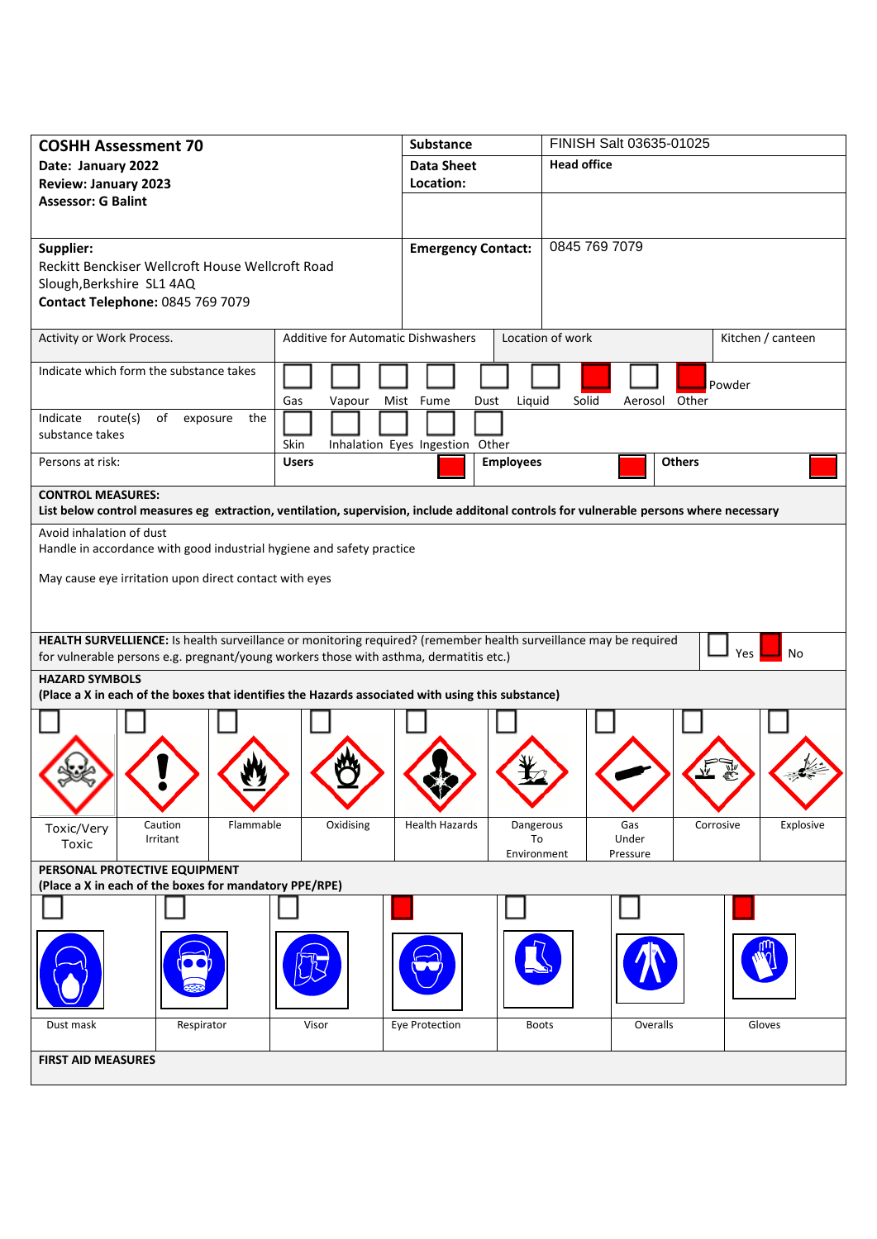| <b>COSHH Assessment 70</b>                                                                                        |                                           | <b>Substance</b>                         | FINISH Salt 03635-01025                                                                                                                |  |
|-------------------------------------------------------------------------------------------------------------------|-------------------------------------------|------------------------------------------|----------------------------------------------------------------------------------------------------------------------------------------|--|
| Date: January 2022                                                                                                |                                           | <b>Data Sheet</b>                        | <b>Head office</b>                                                                                                                     |  |
| <b>Review: January 2023</b>                                                                                       |                                           | Location:                                |                                                                                                                                        |  |
| <b>Assessor: G Balint</b>                                                                                         |                                           |                                          |                                                                                                                                        |  |
|                                                                                                                   |                                           |                                          |                                                                                                                                        |  |
| Supplier:                                                                                                         |                                           | <b>Emergency Contact:</b>                | 0845 769 7079                                                                                                                          |  |
| Reckitt Benckiser Wellcroft House Wellcroft Road                                                                  |                                           |                                          |                                                                                                                                        |  |
| Slough, Berkshire SL1 4AQ                                                                                         |                                           |                                          |                                                                                                                                        |  |
| Contact Telephone: 0845 769 7079                                                                                  |                                           |                                          |                                                                                                                                        |  |
| Activity or Work Process.                                                                                         | <b>Additive for Automatic Dishwashers</b> |                                          | Location of work<br>Kitchen / canteen                                                                                                  |  |
| Indicate which form the substance takes                                                                           |                                           |                                          | Powder                                                                                                                                 |  |
|                                                                                                                   | Gas<br>Vapour                             | Liquid<br>Mist Fume<br>Dust              | Solid<br>Aerosol Other                                                                                                                 |  |
| Indicate route(s)<br>of<br>exposure<br>the                                                                        |                                           |                                          |                                                                                                                                        |  |
| substance takes                                                                                                   | Skin                                      | Inhalation Eyes Ingestion Other          |                                                                                                                                        |  |
| Persons at risk:                                                                                                  | <b>Users</b>                              | <b>Employees</b>                         | <b>Others</b>                                                                                                                          |  |
| <b>CONTROL MEASURES:</b>                                                                                          |                                           |                                          |                                                                                                                                        |  |
|                                                                                                                   |                                           |                                          | List below control measures eg extraction, ventilation, supervision, include additonal controls for vulnerable persons where necessary |  |
| Avoid inhalation of dust                                                                                          |                                           |                                          |                                                                                                                                        |  |
| Handle in accordance with good industrial hygiene and safety practice                                             |                                           |                                          |                                                                                                                                        |  |
| May cause eye irritation upon direct contact with eyes                                                            |                                           |                                          |                                                                                                                                        |  |
|                                                                                                                   |                                           |                                          |                                                                                                                                        |  |
|                                                                                                                   |                                           |                                          |                                                                                                                                        |  |
| HEALTH SURVELLIENCE: Is health surveillance or monitoring required? (remember health surveillance may be required |                                           |                                          |                                                                                                                                        |  |
| for vulnerable persons e.g. pregnant/young workers those with asthma, dermatitis etc.)                            |                                           |                                          | Yes<br>No                                                                                                                              |  |
| <b>HAZARD SYMBOLS</b>                                                                                             |                                           |                                          |                                                                                                                                        |  |
| (Place a X in each of the boxes that identifies the Hazards associated with using this substance)                 |                                           |                                          |                                                                                                                                        |  |
|                                                                                                                   |                                           |                                          |                                                                                                                                        |  |
|                                                                                                                   |                                           |                                          |                                                                                                                                        |  |
|                                                                                                                   |                                           |                                          |                                                                                                                                        |  |
|                                                                                                                   |                                           |                                          |                                                                                                                                        |  |
|                                                                                                                   |                                           |                                          |                                                                                                                                        |  |
| Caution<br>Flammable<br>Toxic/Very<br>Irritant                                                                    | Oxidising                                 | <b>Health Hazards</b><br>Dangerous<br>To | Gas<br>Corrosive<br>Explosive<br>Under                                                                                                 |  |
| Toxic                                                                                                             |                                           | Environment                              | Pressure                                                                                                                               |  |
| PERSONAL PROTECTIVE EQUIPMENT                                                                                     |                                           |                                          |                                                                                                                                        |  |
| (Place a X in each of the boxes for mandatory PPE/RPE)                                                            |                                           |                                          |                                                                                                                                        |  |
|                                                                                                                   |                                           |                                          |                                                                                                                                        |  |
|                                                                                                                   |                                           |                                          |                                                                                                                                        |  |
|                                                                                                                   |                                           |                                          |                                                                                                                                        |  |
|                                                                                                                   |                                           |                                          |                                                                                                                                        |  |
|                                                                                                                   |                                           |                                          |                                                                                                                                        |  |
| Respirator<br>Dust mask                                                                                           | Visor                                     | Eye Protection                           | Overalls<br>Gloves<br><b>Boots</b>                                                                                                     |  |
| <b>FIRST AID MEASURES</b>                                                                                         |                                           |                                          |                                                                                                                                        |  |
|                                                                                                                   |                                           |                                          |                                                                                                                                        |  |